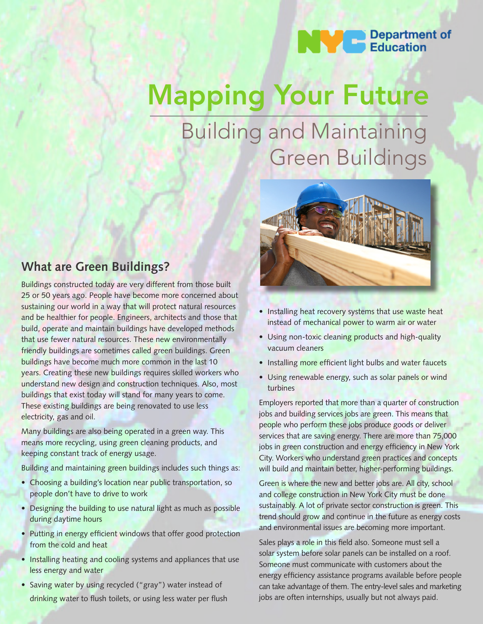

# Mapping Your Future

# Building and Maintaining Green Buildings



Buildings constructed today are very different from those built 25 or 50 years ago. People have become more concerned about sustaining our world in a way that will protect natural resources and be healthier for people. Engineers, architects and those that build, operate and maintain buildings have developed methods that use fewer natural resources. These new environmentally friendly buildings are sometimes called green buildings. Green buildings have become much more common in the last 10 years. Creating these new buildings requires skilled workers who understand new design and construction techniques. Also, most buildings that exist today will stand for many years to come. These existing buildings are being renovated to use less electricity, gas and oil.

Many buildings are also being operated in a green way. This means more recycling, using green cleaning products, and keeping constant track of energy usage.

Building and maintaining green buildings includes such things as:

- Choosing a building's location near public transportation, so people don't have to drive to work
- Designing the building to use natural light as much as possible during daytime hours
- Putting in energy efficient windows that offer good protection from the cold and heat
- Installing heating and cooling systems and appliances that use less energy and water
- Saving water by using recycled ("gray") water instead of drinking water to flush toilets, or using less water per flush



- Installing heat recovery systems that use waste heat instead of mechanical power to warm air or water
- Using non-toxic cleaning products and high-quality vacuum cleaners
- Installing more efficient light bulbs and water faucets
- Using renewable energy, such as solar panels or wind turbines

Employers reported that more than a quarter of construction jobs and building services jobs are green. This means that people who perform these jobs produce goods or deliver services that are saving energy. There are more than 75,000 jobs in green construction and energy efficiency in New York City. Workers who understand green practices and concepts will build and maintain better, higher-performing buildings.

Green is where the new and better jobs are. All city, school and college construction in New York City must be done sustainably. A lot of private sector construction is green. This trend should grow and continue in the future as energy costs and environmental issues are becoming more important.

Sales plays a role in this field also. Someone must sell a solar system before solar panels can be installed on a roof. Someone must communicate with customers about the energy efficiency assistance programs available before people can take advantage of them. The entry-level sales and marketing jobs are often internships, usually but not always paid.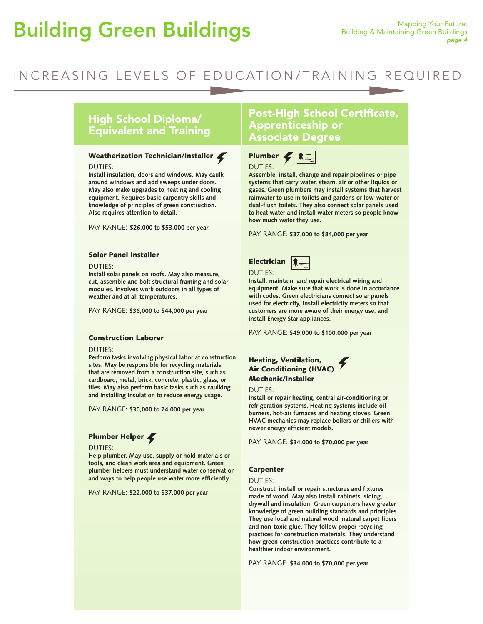# Building Green Buildings Mapping Your Future:

# INCREASING LEVELS OF EDUCATION/TRAINING REQUIRED

# High School Diploma/ Equivalent and Training

### Weatherization Technician/Installer

#### DUTIES:

**Install insulation, doors and windows. May caulk around windows and add sweeps under doors. May also make upgrades to heating and cooling equipment. Requires basic carpentry skills and knowledge of principles of green construction. Also requires attention to detail.**

PAY RANGE: **\$26,000 to \$53,000 per year**

### Solar Panel Installer

#### DUTIES:

**Install solar panels on roofs. May also measure, cut, assemble and bolt structural framing and solar modules. Involves work outdoors in all types of weather and at all temperatures.** 

PAY RANGE: **\$36,000 to \$44,000 per year**

### Construction Laborer

#### DUTIES:

**Perform tasks involving physical labor at construction sites. May be responsible for recycling materials that are removed from a construction site, such as cardboard, metal, brick, concrete, plastic, glass, or tiles. May also perform basic tasks such as caulking and installing insulation to reduce energy usage.** 

PAY RANGE: **\$30,000 to 74,000 per year**

### Plumber Helper

### DUTIES:

**Help plumber. May use, supply or hold materials or tools, and clean work area and equipment. Green plumber helpers must understand water conservation and ways to help people use water more efficiently.** 

PAY RANGE: **\$22,000 to \$37,000 per year**

### Post-High School Certificate, Apprenticeship or Associate Degree



**Assemble, install, change and repair pipelines or pipe systems that carry water, steam, air or other liquids or gases. Green plumbers may install systems that harvest rainwater to use in toilets and gardens or low-water or dual-flush toilets. They also connect solar panels used to heat water and install water meters so people know how much water they use.**

PAY RANGE: **\$37,000 to \$84,000 per year**

| Electrician $\sqrt{2\pi}$ |  |
|---------------------------|--|
|                           |  |

DUTIES:

**Install, maintain, and repair electrical wiring and equipment. Make sure that work is done in accordance with codes. Green electricians connect solar panels used for electricity, install electricity meters so that customers are more aware of their energy use, and install Energy Star appliances.** 

PAY RANGE: **\$49,000 to \$100,000 per year**

### Heating, Ventilation, Air Conditioning (HVAC) Mechanic/Installer

### DUTIES:

**Install or repair heating, central air-conditioning or refrigeration systems. Heating systems include oil burners, hot-air furnaces and heating stoves. Green HVAC mechanics may replace boilers or chillers with newer energy efficient models.** 

PAY RANGE: **\$34,000 to \$70,000 per year**

### Carpenter

### DUTIES:

**Construct, install or repair structures and fixtures made of wood. May also install cabinets, siding, drywall and insulation. Green carpenters have greater knowledge of green building standards and principles. They use local and natural wood, natural carpet fibers and non-toxic glue. They follow proper recycling practices for construction materials. They understand how green construction practices contribute to a healthier indoor environment.**

PAY RANGE: **\$34,000 to \$70,000 per year**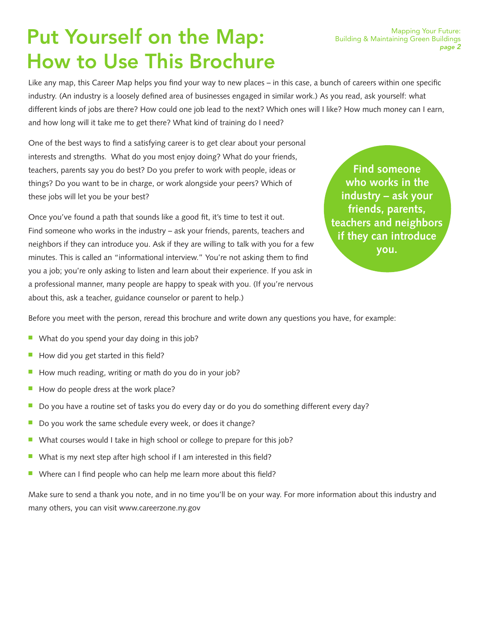# Put Yourself on the Map: How to Use This Brochure

Like any map, this Career Map helps you find your way to new places – in this case, a bunch of careers within one specific industry. (An industry is a loosely defined area of businesses engaged in similar work.) As you read, ask yourself: what different kinds of jobs are there? How could one job lead to the next? Which ones will I like? How much money can I earn, and how long will it take me to get there? What kind of training do I need?

One of the best ways to find a satisfying career is to get clear about your personal interests and strengths. What do you most enjoy doing? What do your friends, teachers, parents say you do best? Do you prefer to work with people, ideas or things? Do you want to be in charge, or work alongside your peers? Which of these jobs will let you be your best?

Once you've found a path that sounds like a good fit, it's time to test it out. Find someone who works in the industry – ask your friends, parents, teachers and neighbors if they can introduce you. Ask if they are willing to talk with you for a few minutes. This is called an "informational interview." You're not asking them to find you a job; you're only asking to listen and learn about their experience. If you ask in a professional manner, many people are happy to speak with you. (If you're nervous about this, ask a teacher, guidance counselor or parent to help.)

**Find someone who works in the industry – ask your friends, parents, teachers and neighbors if they can introduce you.**

Before you meet with the person, reread this brochure and write down any questions you have, for example:

- $\blacksquare$  What do you spend your day doing in this job?
- $\blacksquare$  How did you get started in this field?
- $\blacksquare$  How much reading, writing or math do you do in your job?
- How do people dress at the work place?
- $\blacksquare$  Do you have a routine set of tasks you do every day or do you do something different every day?
- $\blacksquare$  Do you work the same schedule every week, or does it change?
- $\blacksquare$  What courses would I take in high school or college to prepare for this job?
- $\blacksquare$  What is my next step after high school if I am interested in this field?
- Where can I find people who can help me learn more about this field?

Make sure to send a thank you note, and in no time you'll be on your way. For more information about this industry and many others, you can visit www.careerzone.ny.gov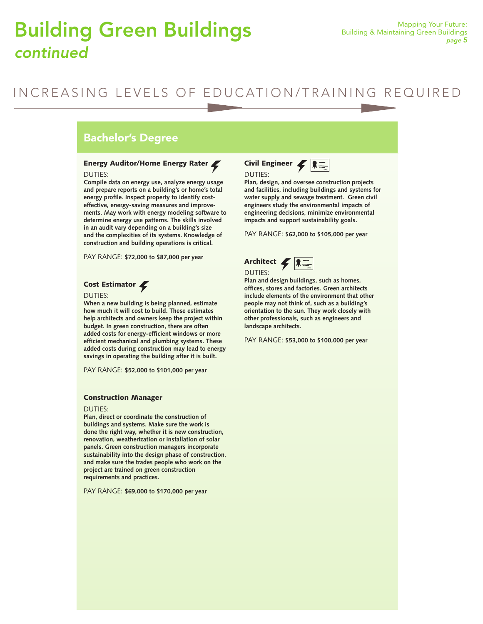# Building Green Buildings **Building & Maintaining Green Buildings** *continued*

# INCREASING LEVELS OF EDUCATION/TRAINING REQUIRED

### Bachelor's Degree

### Energy Auditor/Home Energy Rater

### DUTIES:

**Compile data on energy use, analyze energy usage and prepare reports on a building's or home's total energy profile. Inspect property to identify costeffective, energy-saving measures and improvements. May work with energy modeling software to determine energy use patterns. The skills involved in an audit vary depending on a building's size and the complexities of its systems. Knowledge of construction and building operations is critical.**

PAY RANGE: **\$72,000 to \$87,000 per year**

### Cost Estimator

### DUTIES:

**When a new building is being planned, estimate how much it will cost to build. These estimates help architects and owners keep the project within budget. In green construction, there are often added costs for energy-efficient windows or more efficient mechanical and plumbing systems. These added costs during construction may lead to energy savings in operating the building after it is built.** 

PAY RANGE: **\$52,000 to \$101,000 per year**

### Construction Manager

#### DUTIES:

**Plan, direct or coordinate the construction of buildings and systems. Make sure the work is done the right way, whether it is new construction, renovation, weatherization or installation of solar panels. Green construction managers incorporate sustainability into the design phase of construction, and make sure the trades people who work on the project are trained on green construction requirements and practices.**

PAY RANGE: **\$69,000 to \$170,000 per year** 



**Plan, design, and oversee construction projects and facilities, including buildings and systems for water supply and sewage treatment. Green civil engineers study the environmental impacts of engineering decisions, minimize environmental impacts and support sustainability goals.**

PAY RANGE: **\$62,000 to \$105,000 per year**



**Plan and design buildings, such as homes, offices, stores and factories. Green architects include elements of the environment that other people may not think of, such as a building's orientation to the sun. They work closely with other professionals, such as engineers and landscape architects.**

PAY RANGE: **\$53,000 to \$100,000 per year**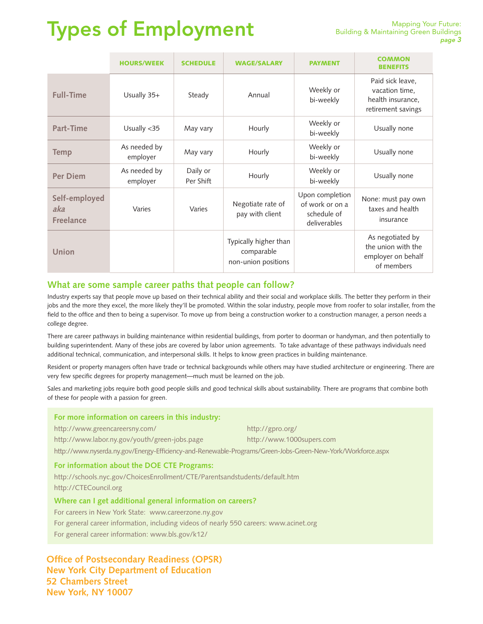# Types of Employment

|                                          | <b>HOURS/WEEK</b>        | <b>SCHEDULE</b>       | <b>WAGE/SALARY</b>                                         | <b>PAYMENT</b>                                                    | <b>COMMON</b><br><b>BENEFITS</b>                                              |
|------------------------------------------|--------------------------|-----------------------|------------------------------------------------------------|-------------------------------------------------------------------|-------------------------------------------------------------------------------|
| <b>Full-Time</b>                         | Usually 35+              | Steady                | Annual                                                     | Weekly or<br>bi-weekly                                            | Paid sick leave,<br>vacation time,<br>health insurance,<br>retirement savings |
| Part-Time                                | Usually <35              | May vary              | Hourly                                                     | Weekly or<br>bi-weekly                                            | Usually none                                                                  |
| <b>Temp</b>                              | As needed by<br>employer | May vary              | Hourly                                                     | Weekly or<br>bi-weekly                                            | Usually none                                                                  |
| <b>Per Diem</b>                          | As needed by<br>employer | Daily or<br>Per Shift | Hourly                                                     | Weekly or<br>bi-weekly                                            | Usually none                                                                  |
| Self-employed<br>aka<br><b>Freelance</b> | Varies                   | Varies                | Negotiate rate of<br>pay with client                       | Upon completion<br>of work or on a<br>schedule of<br>deliverables | None: must pay own<br>taxes and health<br>insurance                           |
| Union                                    |                          |                       | Typically higher than<br>comparable<br>non-union positions |                                                                   | As negotiated by<br>the union with the<br>employer on behalf<br>of members    |

### **What are some sample career paths that people can follow?**

Industry experts say that people move up based on their technical ability and their social and workplace skills. The better they perform in their jobs and the more they excel, the more likely they'll be promoted. Within the solar industry, people move from roofer to solar installer, from the field to the office and then to being a supervisor. To move up from being a construction worker to a construction manager, a person needs a college degree.

There are career pathways in building maintenance within residential buildings, from porter to doorman or handyman, and then potentially to building superintendent. Many of these jobs are covered by labor union agreements. To take advantage of these pathways individuals need additional technical, communication, and interpersonal skills. It helps to know green practices in building maintenance.

Resident or property managers often have trade or technical backgrounds while others may have studied architecture or engineering. There are very few specific degrees for property management—much must be learned on the job.

Sales and marketing jobs require both good people skills and good technical skills about sustainability. There are programs that combine both of these for people with a passion for green.

| For more information on careers in this industry:                                                           |                           |  |  |  |
|-------------------------------------------------------------------------------------------------------------|---------------------------|--|--|--|
| http://www.greencareersny.com/                                                                              | http://gpro.org/          |  |  |  |
| http://www.labor.ny.gov/youth/green-jobs.page                                                               | http://www.1000supers.com |  |  |  |
| http://www.nyserda.ny.gov/Energy-Efficiency-and-Renewable-Programs/Green-Jobs-Green-New-York/Workforce.aspx |                           |  |  |  |
| For information about the DOE CTE Programs:                                                                 |                           |  |  |  |
| http://schools.nyc.gov/ChoicesEnrollment/CTE/Parentsandstudents/default.htm                                 |                           |  |  |  |
| http://CTECouncil.org                                                                                       |                           |  |  |  |
| Where can I get additional general information on careers?                                                  |                           |  |  |  |
| For careers in New York State: www.careerzone.ny.gov                                                        |                           |  |  |  |
| For general career information, including videos of nearly 550 careers: www.acinet.org                      |                           |  |  |  |
| For general career information: www.bls.gov/k12/                                                            |                           |  |  |  |

**Office of Postsecondary Readiness (OPSR) New York City Department of Education 52 Chambers Street New York, NY 10007**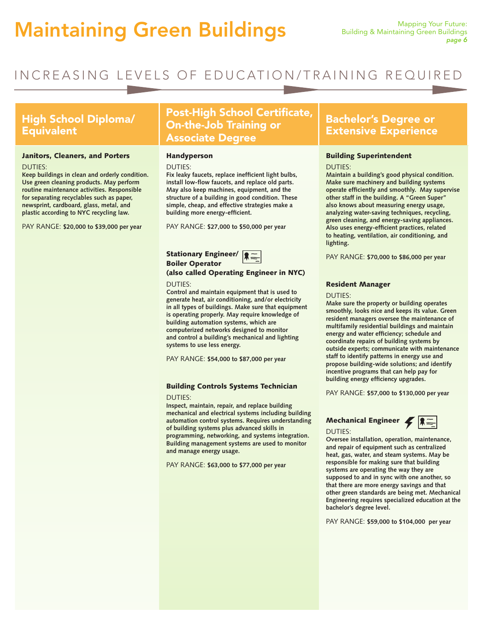# Maintaining Green Buildings Mapping Your Future:

# INCREASING LEVELS OF EDUCATION/TRAINING REQUIRED

### High School Diploma/ **Equivalent**

### Janitors, Cleaners, and Porters

### DUTIES:

**Keep buildings in clean and orderly condition. Use green cleaning products. May perform routine maintenance activities. Responsible for separating recyclables such as paper, newsprint, cardboard, glass, metal, and plastic according to NYC recycling law.**

PAY RANGE: **\$20,000 to \$39,000 per year**

# Post-High School Certificate, On-the-Job Training or Associate Degree

### Handyperson

### DUTIES:

**Fix leaky faucets, replace inefficient light bulbs, install low-flow faucets, and replace old parts. May also keep machines, equipment, and the structure of a building in good condition. These simple, cheap, and effective strategies make a building more energy-efficient.**

PAY RANGE: **\$27,000 to \$50,000 per year**

### Stationary Engineer/ Boiler Operator



### (also called Operating Engineer in NYC) DUTIES:

**Control and maintain equipment that is used to generate heat, air conditioning, and/or electricity in all types of buildings. Make sure that equipment is operating properly. May require knowledge of building automation systems, which are computerized networks designed to monitor and control a building's mechanical and lighting systems to use less energy.** 

PAY RANGE: **\$54,000 to \$87,000 per year**

### Building Controls Systems Technician

### DUTIES:

**Inspect, maintain, repair, and replace building mechanical and electrical systems including building automation control systems. Requires understanding of building systems plus advanced skills in programming, networking, and systems integration. Building management systems are used to monitor and manage energy usage.**

PAY RANGE: **\$63,000 to \$77,000 per year** 

### Bachelor's Degree or Extensive Experience

### Building Superintendent

DUTIES:

**Maintain a building's good physical condition. Make sure machinery and building systems operate efficiently and smoothly. May supervise other staff in the building. A "Green Super" also knows about measuring energy usage, analyzing water-saving techniques, recycling, green cleaning, and energy-saving appliances. Also uses energy-efficient practices, related to heating, ventilation, air conditioning, and lighting.**

PAY RANGE: **\$70,000 to \$86,000 per year**

### Resident Manager

### DUTIES:

**Make sure the property or building operates smoothly, looks nice and keeps its value. Green resident managers oversee the maintenance of multifamily residential buildings and maintain energy and water efficiency; schedule and coordinate repairs of building systems by outside experts; communicate with maintenance staff to identify patterns in energy use and propose building-wide solutions; and identify incentive programs that can help pay for building energy efficiency upgrades.** 

PAY RANGE: **\$57,000 to \$130,000 per year**

### Mechanical Engineer  $\leq$   $\approx$ DUTIES:

**Oversee installation, operation, maintenance, and repair of equipment such as centralized heat, gas, water, and steam systems. May be responsible for making sure that building systems are operating the way they are supposed to and in sync with one another, so that there are more energy savings and that other green standards are being met. Mechanical Engineering requires specialized education at the bachelor's degree level.**

PAY RANGE: **\$59,000 to \$104,000 per year**